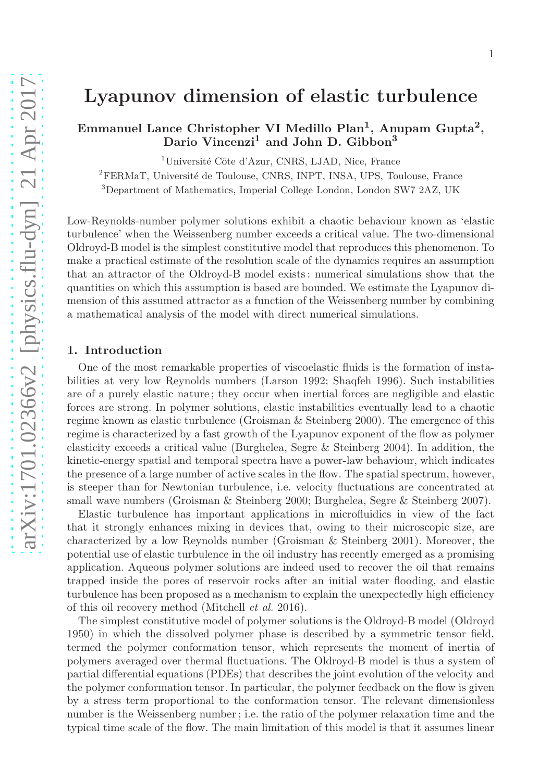# Emmanuel Lance Christopher VI Medillo Plan<sup>1</sup>, Anupam Gupta<sup>2</sup>, Dario Vincenzi<sup>1</sup> and John D. Gibbon<sup>3</sup>

<sup>1</sup>Université Côte d'Azur, CNRS, LJAD, Nice, France

<sup>2</sup>FERMaT, Université de Toulouse, CNRS, INPT, INSA, UPS, Toulouse, France

<sup>3</sup>Department of Mathematics, Imperial College London, London SW7 2AZ, UK

Low-Reynolds-number polymer solutions exhibit a chaotic behaviour known as 'elastic turbulence' when the Weissenberg number exceeds a critical value. The two-dimensional Oldroyd-B model is the simplest constitutive model that reproduces this phenomenon. To make a practical estimate of the resolution scale of the dynamics requires an assumption that an attractor of the Oldroyd-B model exists : numerical simulations show that the quantities on which this assumption is based are bounded. We estimate the Lyapunov dimension of this assumed attractor as a function of the Weissenberg number by combining a mathematical analysis of the model with direct numerical simulations.

#### 1. Introduction

One of the most remarkable properties of viscoelastic fluids is the formation of instabilities at very low Reynolds numbers (Larson 1992; Shaqfeh 1996). Such instabilities are of a purely elastic nature ; they occur when inertial forces are negligible and elastic forces are strong. In polymer solutions, elastic instabilities eventually lead to a chaotic regime known as elastic turbulence (Groisman & Steinberg 2000). The emergence of this regime is characterized by a fast growth of the Lyapunov exponent of the flow as polymer elasticity exceeds a critical value (Burghelea, Segre & Steinberg 2004). In addition, the kinetic-energy spatial and temporal spectra have a power-law behaviour, which indicates the presence of a large number of active scales in the flow. The spatial spectrum, however, is steeper than for Newtonian turbulence, i.e. velocity fluctuations are concentrated at small wave numbers (Groisman & Steinberg 2000; Burghelea, Segre & Steinberg 2007).

Elastic turbulence has important applications in microfluidics in view of the fact that it strongly enhances mixing in devices that, owing to their microscopic size, are characterized by a low Reynolds number (Groisman & Steinberg 2001). Moreover, the potential use of elastic turbulence in the oil industry has recently emerged as a promising application. Aqueous polymer solutions are indeed used to recover the oil that remains trapped inside the pores of reservoir rocks after an initial water flooding, and elastic turbulence has been proposed as a mechanism to explain the unexpectedly high efficiency of this oil recovery method (Mitchell et al. 2016).

The simplest constitutive model of polymer solutions is the Oldroyd-B model (Oldroyd 1950) in which the dissolved polymer phase is described by a symmetric tensor field, termed the polymer conformation tensor, which represents the moment of inertia of polymers averaged over thermal fluctuations. The Oldroyd-B model is thus a system of partial differential equations (PDEs) that describes the joint evolution of the velocity and the polymer conformation tensor. In particular, the polymer feedback on the flow is given by a stress term proportional to the conformation tensor. The relevant dimensionless number is the Weissenberg number ; i.e. the ratio of the polymer relaxation time and the typical time scale of the flow. The main limitation of this model is that it assumes linear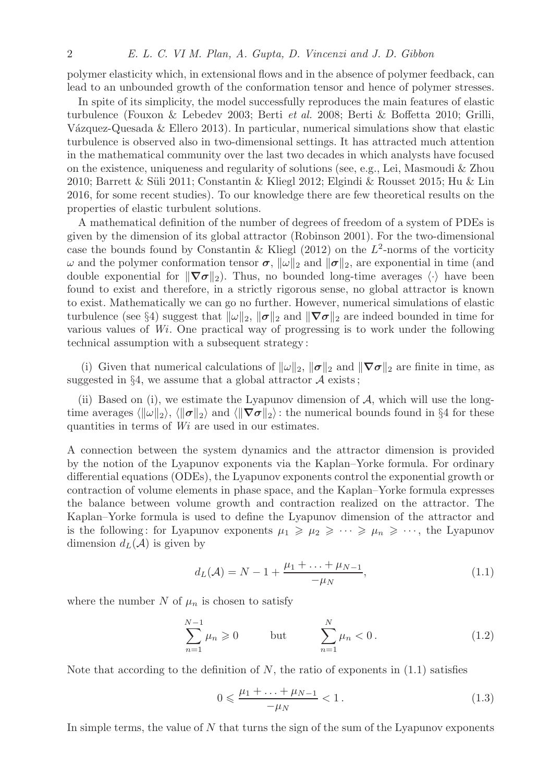polymer elasticity which, in extensional flows and in the absence of polymer feedback, can lead to an unbounded growth of the conformation tensor and hence of polymer stresses.

In spite of its simplicity, the model successfully reproduces the main features of elastic turbulence (Fouxon & Lebedev 2003; Berti et al. 2008; Berti & Boffetta 2010; Grilli, Vázquez-Quesada  $&$  Ellero 2013). In particular, numerical simulations show that elastic turbulence is observed also in two-dimensional settings. It has attracted much attention in the mathematical community over the last two decades in which analysts have focused on the existence, uniqueness and regularity of solutions (see, e.g., Lei, Masmoudi  $\&$  Zhou 2010; Barrett & Süli 2011; Constantin & Kliegl 2012; Elgindi & Rousset 2015; Hu & Lin 2016, for some recent studies). To our knowledge there are few theoretical results on the properties of elastic turbulent solutions.

A mathematical definition of the number of degrees of freedom of a system of PDEs is given by the dimension of its global attractor (Robinson 2001). For the two-dimensional case the bounds found by Constantin & Kliegl  $(2012)$  on the  $L^2$ -norms of the vorticity ω and the polymer conformation tensor  $\sigma$ ,  $\|\omega\|_2$  and  $\|\sigma\|_2$ , are exponential in time (and double exponential for  $\|\nabla \sigma\|_2$ ). Thus, no bounded long-time averages  $\langle \cdot \rangle$  have been found to exist and therefore, in a strictly rigorous sense, no global attractor is known to exist. Mathematically we can go no further. However, numerical simulations of elastic turbulence (see §4) suggest that  $\|\omega\|_2$ ,  $\|\sigma\|_2$  and  $\|\nabla \sigma\|_2$  are indeed bounded in time for various values of Wi. One practical way of progressing is to work under the following technical assumption with a subsequent strategy :

(i) Given that numerical calculations of  $\|\omega\|_2$ ,  $\|\sigma\|_2$  and  $\|\nabla\sigma\|_2$  are finite in time, as suggested in  $\S 4$ , we assume that a global attractor  $A$  exists;

(ii) Based on (i), we estimate the Lyapunov dimension of  $A$ , which will use the longtime averages  $\langle ||\omega||_2 \rangle$ ,  $\langle ||\sigma||_2 \rangle$  and  $\langle ||\nabla \sigma||_2 \rangle$ : the numerical bounds found in §4 for these quantities in terms of Wi are used in our estimates.

A connection between the system dynamics and the attractor dimension is provided by the notion of the Lyapunov exponents via the Kaplan–Yorke formula. For ordinary differential equations (ODEs), the Lyapunov exponents control the exponential growth or contraction of volume elements in phase space, and the Kaplan–Yorke formula expresses the balance between volume growth and contraction realized on the attractor. The Kaplan–Yorke formula is used to define the Lyapunov dimension of the attractor and is the following: for Lyapunov exponents  $\mu_1 \geq \mu_2 \geq \cdots \geq \mu_n \geq \cdots$ , the Lyapunov dimension  $d_L(\mathcal{A})$  is given by

$$
d_L(\mathcal{A}) = N - 1 + \frac{\mu_1 + \dots + \mu_{N-1}}{-\mu_N},
$$
\n(1.1)

where the number N of  $\mu_n$  is chosen to satisfy

$$
\sum_{n=1}^{N-1} \mu_n \ge 0 \qquad \text{but} \qquad \sum_{n=1}^{N} \mu_n < 0. \tag{1.2}
$$

Note that according to the definition of  $N$ , the ratio of exponents in  $(1.1)$  satisfies

$$
0 \le \frac{\mu_1 + \dots + \mu_{N-1}}{-\mu_N} < 1. \tag{1.3}
$$

In simple terms, the value of  $N$  that turns the sign of the sum of the Lyapunov exponents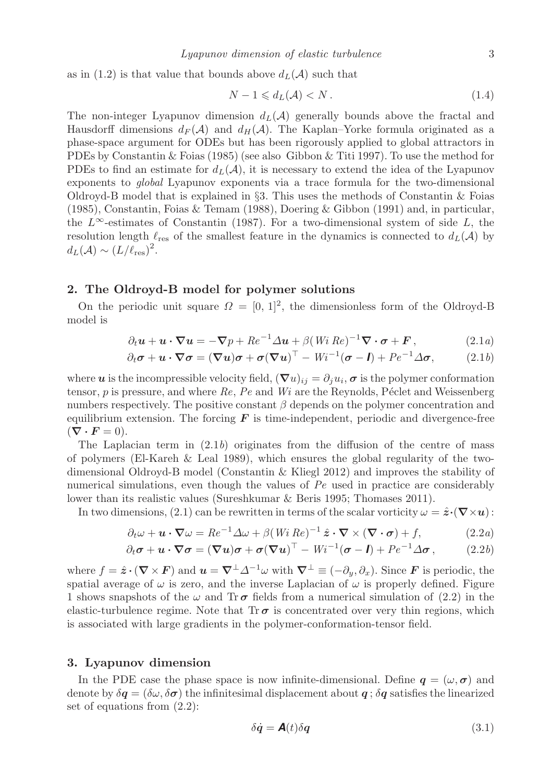as in (1.2) is that value that bounds above  $d_L(\mathcal{A})$  such that

$$
N - 1 \leqslant d_L(\mathcal{A}) < N \,. \tag{1.4}
$$

The non-integer Lyapunov dimension  $d_L(\mathcal{A})$  generally bounds above the fractal and Hausdorff dimensions  $d_F(A)$  and  $d_H(A)$ . The Kaplan–Yorke formula originated as a phase-space argument for ODEs but has been rigorously applied to global attractors in PDEs by Constantin & Foias (1985) (see also Gibbon & Titi 1997). To use the method for PDEs to find an estimate for  $d_L(\mathcal{A})$ , it is necessary to extend the idea of the Lyapunov exponents to global Lyapunov exponents via a trace formula for the two-dimensional Oldroyd-B model that is explained in §3. This uses the methods of Constantin & Foias (1985), Constantin, Foias & Temam (1988), Doering & Gibbon (1991) and, in particular, the  $L^{\infty}$ -estimates of Constantin (1987). For a two-dimensional system of side L, the resolution length  $\ell_{res}$  of the smallest feature in the dynamics is connected to  $d_L(\mathcal{A})$  by  $d_L(\mathcal{A}) \sim (L/\ell_{\text{res}})^2$ .

## 2. The Oldroyd-B model for polymer solutions

On the periodic unit square  $\Omega = [0, 1]^2$ , the dimensionless form of the Oldroyd-B model is

$$
\partial_t \mathbf{u} + \mathbf{u} \cdot \nabla \mathbf{u} = -\nabla p + Re^{-1} \Delta \mathbf{u} + \beta (Wi Re)^{-1} \nabla \cdot \boldsymbol{\sigma} + \boldsymbol{F}, \qquad (2.1a)
$$

$$
\partial_t \boldsymbol{\sigma} + \boldsymbol{u} \cdot \boldsymbol{\nabla} \boldsymbol{\sigma} = (\boldsymbol{\nabla} \boldsymbol{u}) \boldsymbol{\sigma} + \boldsymbol{\sigma} (\boldsymbol{\nabla} \boldsymbol{u})^\top - W i^{-1} (\boldsymbol{\sigma} - \boldsymbol{I}) + P e^{-1} \Delta \boldsymbol{\sigma}, \qquad (2.1b)
$$

where u is the incompressible velocity field,  $(\nabla u)_{ij} = \partial_j u_i$ ,  $\sigma$  is the polymer conformation tensor, p is pressure, and where  $Re$ ,  $Pe$  and  $Wi$  are the Reynolds, Péclet and Weissenberg numbers respectively. The positive constant  $\beta$  depends on the polymer concentration and equilibrium extension. The forcing  $\boldsymbol{F}$  is time-independent, periodic and divergence-free  $(\nabla \cdot \boldsymbol{F} = 0).$ 

The Laplacian term in  $(2.1b)$  originates from the diffusion of the centre of mass of polymers (El-Kareh & Leal 1989), which ensures the global regularity of the twodimensional Oldroyd-B model (Constantin & Kliegl 2012) and improves the stability of numerical simulations, even though the values of Pe used in practice are considerably lower than its realistic values (Sureshkumar & Beris 1995; Thomases 2011).

In two dimensions, (2.1) can be rewritten in terms of the scalar vorticity  $\omega = \hat{z} \cdot (\nabla \times u)$ :

$$
\partial_t \omega + \mathbf{u} \cdot \nabla \omega = Re^{-1} \Delta \omega + \beta (Wi Re)^{-1} \hat{\mathbf{z}} \cdot \nabla \times (\nabla \cdot \boldsymbol{\sigma}) + f,
$$
 (2.2*a*)

$$
\partial_t \boldsymbol{\sigma} + \boldsymbol{u} \cdot \boldsymbol{\nabla} \boldsymbol{\sigma} = (\boldsymbol{\nabla} \boldsymbol{u}) \boldsymbol{\sigma} + \boldsymbol{\sigma} (\boldsymbol{\nabla} \boldsymbol{u})^{\top} - W i^{-1} (\boldsymbol{\sigma} - \boldsymbol{I}) + P e^{-1} \Delta \boldsymbol{\sigma}, \qquad (2.2b)
$$

where  $f = \hat{z} \cdot (\nabla \times F)$  and  $u = \nabla^{\perp} \Delta^{-1} \omega$  with  $\nabla^{\perp} \equiv (-\partial_y, \partial_x)$ . Since F is periodic, the spatial average of  $\omega$  is zero, and the inverse Laplacian of  $\omega$  is properly defined. Figure 1 shows snapshots of the  $\omega$  and Tr  $\sigma$  fields from a numerical simulation of (2.2) in the elastic-turbulence regime. Note that  $Tr \sigma$  is concentrated over very thin regions, which is associated with large gradients in the polymer-conformation-tensor field.

#### 3. Lyapunov dimension

In the PDE case the phase space is now infinite-dimensional. Define  $q = (\omega, \sigma)$  and denote by  $\delta q = (\delta \omega, \delta \sigma)$  the infinitesimal displacement about q;  $\delta q$  satisfies the linearized set of equations from (2.2):

$$
\delta \dot{\mathbf{q}} = \mathbf{A}(t) \delta \mathbf{q} \tag{3.1}
$$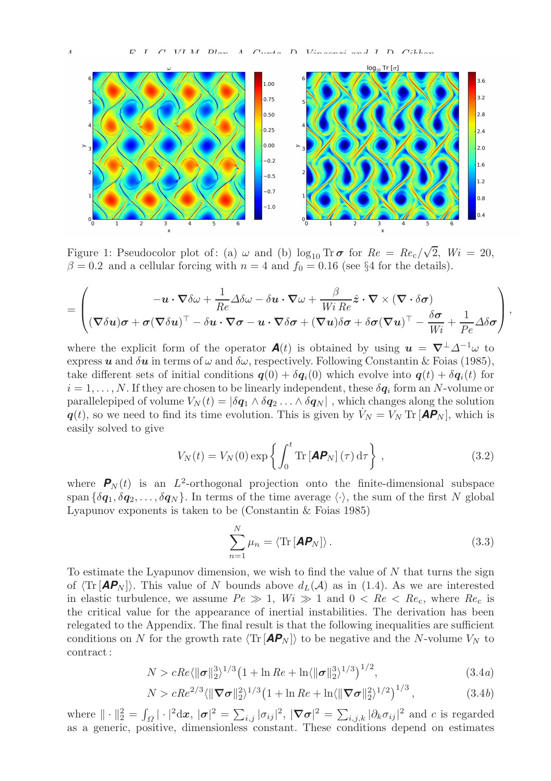

Figure 1: Pseudocolor plot of: (a)  $\omega$  and (b)  $\log_{10} \text{Tr} \sigma$  for  $Re = Re_c / \sqrt{2}$ ,  $Wi = 20$ ,  $\beta = 0.2$  and a cellular forcing with  $n = 4$  and  $f_0 = 0.16$  (see §4 for the details).

$$
= \begin{pmatrix} -\boldsymbol{u}\cdot\nabla\delta\omega + \frac{1}{Re}\Delta\delta\omega - \delta\boldsymbol{u}\cdot\nabla\omega + \frac{\beta}{Wi\,Re}\hat{\boldsymbol{z}}\cdot\nabla\times(\nabla\cdot\delta\boldsymbol{\sigma}) \\ (\nabla\delta\boldsymbol{u})\boldsymbol{\sigma} + \boldsymbol{\sigma}(\nabla\delta\boldsymbol{u})^{\top} - \delta\boldsymbol{u}\cdot\nabla\boldsymbol{\sigma} - \boldsymbol{u}\cdot\nabla\delta\boldsymbol{\sigma} + (\nabla\boldsymbol{u})\delta\boldsymbol{\sigma} + \delta\boldsymbol{\sigma}(\nabla\boldsymbol{u})^{\top} - \frac{\delta\boldsymbol{\sigma}}{Wi} + \frac{1}{Pe}\Delta\delta\boldsymbol{\sigma} \end{pmatrix},
$$

where the explicit form of the operator  $\mathbf{A}(t)$  is obtained by using  $\mathbf{u} = \nabla^{\perp} \Delta^{-1} \omega$  to express u and  $\delta u$  in terms of  $\omega$  and  $\delta \omega$ , respectively. Following Constantin & Foias (1985), take different sets of initial conditions  $q(0) + \delta q_i(0)$  which evolve into  $q(t) + \delta q_i(t)$  for  $i = 1, \ldots, N$ . If they are chosen to be linearly independent, these  $\delta q_i$  form an N-volume or parallelepiped of volume  $V_N(t) = |\delta q_1 \wedge \delta q_2 \dots \wedge \delta q_N|$ , which changes along the solution  $q(t)$ , so we need to find its time evolution. This is given by  $V_N = V_N$  Tr  $[AP_N]$ , which is easily solved to give

$$
V_N(t) = V_N(0) \exp\left\{ \int_0^t \text{Tr} \left[ \mathbf{A} \mathbf{P}_N \right] (\tau) d\tau \right\}, \tag{3.2}
$$

where  $P_N(t)$  is an L<sup>2</sup>-orthogonal projection onto the finite-dimensional subspace span  $\{\delta q_1, \delta q_2, \ldots, \delta q_N\}$ . In terms of the time average  $\langle \cdot \rangle$ , the sum of the first N global Lyapunov exponents is taken to be (Constantin  $\&$  Foias 1985)

$$
\sum_{n=1}^{N} \mu_n = \langle \text{Tr} [\mathbf{A} \mathbf{P}_N] \rangle.
$$
 (3.3)

To estimate the Lyapunov dimension, we wish to find the value of  $N$  that turns the sign of  $\langle \text{Tr} [\mathbf{A} \mathbf{P}_N ] \rangle$ . This value of N bounds above  $d_L(\mathcal{A})$  as in (1.4). As we are interested in elastic turbulence, we assume  $Pe \gg 1$ ,  $Wi \gg 1$  and  $0 < Re < Re<sub>c</sub>$ , where  $Re<sub>c</sub>$  is the critical value for the appearance of inertial instabilities. The derivation has been relegated to the Appendix. The final result is that the following inequalities are sufficient conditions on N for the growth rate  $\langle \text{Tr} [\mathbf{A} \mathbf{P}_N] \rangle$  to be negative and the N-volume  $V_N$  to contract :

$$
N > cRe\langle \|\sigma\|_2^3 \rangle^{1/3} \left(1 + \ln Re + \ln \langle \|\sigma\|_2^3 \rangle^{1/3} \right)^{1/2}, \tag{3.4a}
$$

$$
N > cRe^{2/3} \langle \|\nabla \sigma\|_2^2 \rangle^{1/3} \left(1 + \ln Re + \ln \langle \|\nabla \sigma\|_2^2 \rangle^{1/2} \right)^{1/3}, \tag{3.4b}
$$

where  $\|\cdot\|_2^2 = \int_{\Omega} |\cdot|^2 dx$ ,  $|\sigma|^2 = \sum_{i,j} |\sigma_{ij}|^2$ ,  $|\nabla \sigma|^2 = \sum_{i,j,k} |\partial_k \sigma_{ij}|^2$  and c is regarded as a generic, positive, dimensionless constant. These conditions depend on estimates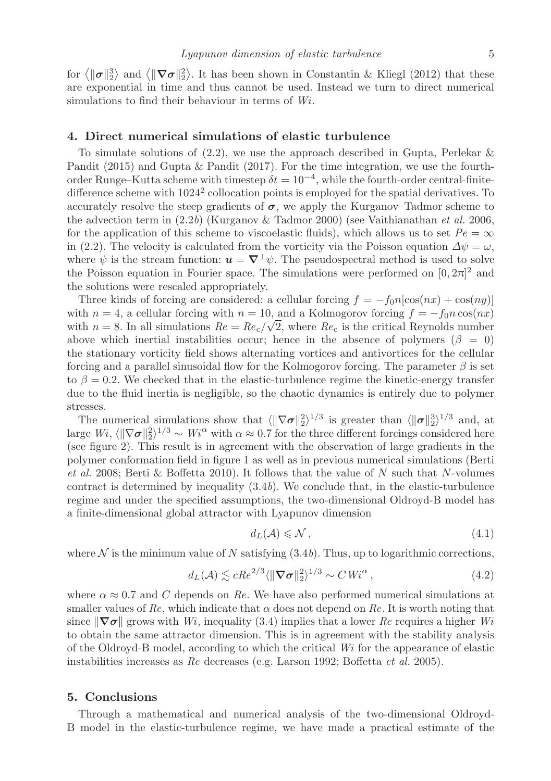for  $\langle ||\boldsymbol{\sigma}||_2^2 \rangle$  and  $\langle ||\boldsymbol{\nabla}\boldsymbol{\sigma}||_2^2 \rangle$ . It has been shown in Constantin & Kliegl (2012) that these are exponential in time and thus cannot be used. Instead we turn to direct numerical simulations to find their behaviour in terms of Wi.

### 4. Direct numerical simulations of elastic turbulence

To simulate solutions of  $(2.2)$ , we use the approach described in Gupta, Perlekar & Pandit (2015) and Gupta & Pandit (2017). For the time integration, we use the fourthorder Runge–Kutta scheme with timestep  $\delta t = 10^{-4}$ , while the fourth-order central-finitedifference scheme with  $1024^2$  collocation points is employed for the spatial derivatives. To accurately resolve the steep gradients of  $\sigma$ , we apply the Kurganov–Tadmor scheme to the advection term in  $(2.2b)$  (Kurganov & Tadmor 2000) (see Vaithianathan et al. 2006, for the application of this scheme to viscoelastic fluids), which allows us to set  $Pe = \infty$ in (2.2). The velocity is calculated from the vorticity via the Poisson equation  $\Delta \psi = \omega$ , where  $\psi$  is the stream function:  $\mathbf{u} = \nabla^{\perp} \psi$ . The pseudospectral method is used to solve the Poisson equation in Fourier space. The simulations were performed on  $[0, 2\pi]^2$  and the solutions were rescaled appropriately.

Three kinds of forcing are considered: a cellular forcing  $f = -f_0n[\cos(nx) + \cos(ny)]$ with  $n = 4$ , a cellular forcing with  $n = 10$ , and a Kolmogorov forcing  $f = -f_0 n \cos(nx)$ with  $n = 8$ . In all simulations  $Re = Re<sub>c</sub>/\sqrt{2}$ , where  $Re<sub>c</sub>$  is the critical Reynolds number above which inertial instabilities occur; hence in the absence of polymers ( $\beta = 0$ ) the stationary vorticity field shows alternating vortices and antivortices for the cellular forcing and a parallel sinusoidal flow for the Kolmogorov forcing. The parameter  $\beta$  is set to  $\beta = 0.2$ . We checked that in the elastic-turbulence regime the kinetic-energy transfer due to the fluid inertia is negligible, so the chaotic dynamics is entirely due to polymer stresses.

The numerical simulations show that  $\langle \|\nabla \sigma\|_2^2 \rangle^{1/3}$  is greater than  $\langle \|\sigma\|_2^3 \rangle^{1/3}$  and, at large  $W_i$ ,  $\langle \|\nabla \sigma\|^2_2 \rangle^{1/3} \sim W_i^{\alpha}$  with  $\alpha \approx 0.7$  for the three different forcings considered here (see figure 2). This result is in agreement with the observation of large gradients in the polymer conformation field in figure 1 as well as in previous numerical simulations (Berti et al. 2008; Berti & Boffetta 2010). It follows that the value of N such that N-volumes contract is determined by inequality  $(3.4b)$ . We conclude that, in the elastic-turbulence regime and under the specified assumptions, the two-dimensional Oldroyd-B model has a finite-dimensional global attractor with Lyapunov dimension

$$
d_L(\mathcal{A}) \leqslant \mathcal{N},\tag{4.1}
$$

where  $\mathcal N$  is the minimum value of N satisfying (3.4b). Thus, up to logarithmic corrections,

$$
d_L(\mathcal{A}) \lesssim cRe^{2/3} \langle \|\nabla \sigma\|_2^2 \rangle^{1/3} \sim C Wi^{\alpha} , \qquad (4.2)
$$

where  $\alpha \approx 0.7$  and C depends on Re. We have also performed numerical simulations at smaller values of Re, which indicate that  $\alpha$  does not depend on Re. It is worth noting that since  $\|\nabla \sigma\|$  grows with Wi, inequality (3.4) implies that a lower Re requires a higher Wi to obtain the same attractor dimension. This is in agreement with the stability analysis of the Oldroyd-B model, according to which the critical Wi for the appearance of elastic instabilities increases as Re decreases (e.g. Larson 1992; Boffetta et al. 2005).

#### 5. Conclusions

Through a mathematical and numerical analysis of the two-dimensional Oldroyd-B model in the elastic-turbulence regime, we have made a practical estimate of the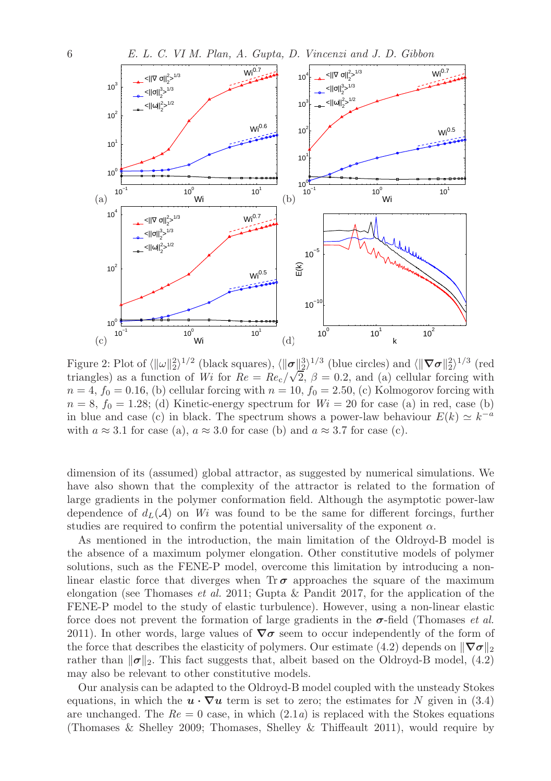

Figure 2: Plot of  $\langle ||\omega||_2^2 \rangle^{1/2}$  (black squares),  $\langle ||\boldsymbol{\sigma}||_2^3 \rangle^{1/3}$  (blue circles) and  $\langle ||\boldsymbol{\nabla}\boldsymbol{\sigma}||_2^2 \rangle^{1/3}$  (red triangles) as a function of Wi for  $Re = Re_c / \sqrt{2}$ ,  $\beta = 0.2$ , and (a) cellular forcing with  $n = 4$ ,  $f_0 = 0.16$ , (b) cellular forcing with  $n = 10$ ,  $f_0 = 2.50$ , (c) Kolmogorov forcing with  $n = 8$ ,  $f_0 = 1.28$ ; (d) Kinetic-energy spectrum for  $Wi = 20$  for case (a) in red, case (b) in blue and case (c) in black. The spectrum shows a power-law behaviour  $E(k) \simeq k^{-a}$ with  $a \approx 3.1$  for case (a),  $a \approx 3.0$  for case (b) and  $a \approx 3.7$  for case (c).

dimension of its (assumed) global attractor, as suggested by numerical simulations. We have also shown that the complexity of the attractor is related to the formation of large gradients in the polymer conformation field. Although the asymptotic power-law dependence of  $d_L(\mathcal{A})$  on Wi was found to be the same for different forcings, further studies are required to confirm the potential universality of the exponent  $\alpha$ .

As mentioned in the introduction, the main limitation of the Oldroyd-B model is the absence of a maximum polymer elongation. Other constitutive models of polymer solutions, such as the FENE-P model, overcome this limitation by introducing a nonlinear elastic force that diverges when  $Tr \sigma$  approaches the square of the maximum elongation (see Thomases et al. 2011; Gupta & Pandit 2017, for the application of the FENE-P model to the study of elastic turbulence). However, using a non-linear elastic force does not prevent the formation of large gradients in the  $\sigma$ -field (Thomases *et al.*) 2011). In other words, large values of  $\nabla \sigma$  seem to occur independently of the form of the force that describes the elasticity of polymers. Our estimate (4.2) depends on  $\|\nabla \sigma\|_2$ rather than  $\|\sigma\|_2$ . This fact suggests that, albeit based on the Oldroyd-B model, (4.2) may also be relevant to other constitutive models.

Our analysis can be adapted to the Oldroyd-B model coupled with the unsteady Stokes equations, in which the  $u \cdot \nabla u$  term is set to zero; the estimates for N given in (3.4) are unchanged. The  $Re = 0$  case, in which  $(2.1a)$  is replaced with the Stokes equations (Thomases & Shelley 2009; Thomases, Shelley & Thiffeault 2011), would require by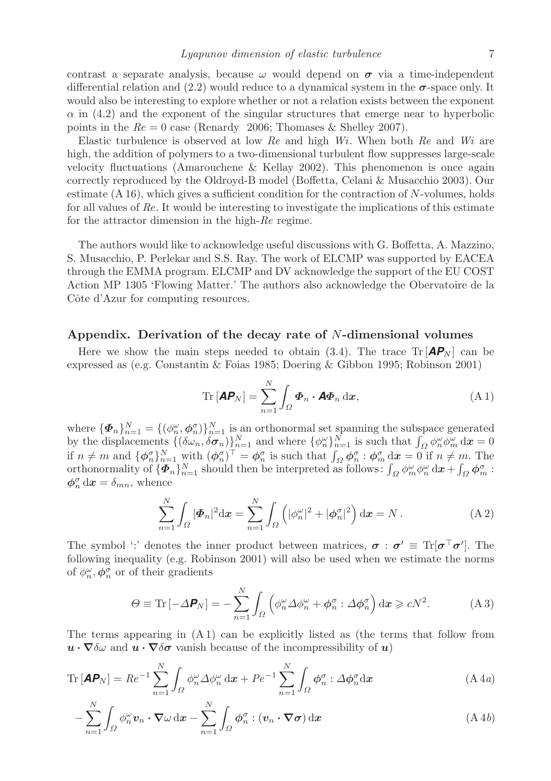contrast a separate analysis, because  $\omega$  would depend on  $\sigma$  via a time-independent differential relation and  $(2.2)$  would reduce to a dynamical system in the  $\sigma$ -space only. It would also be interesting to explore whether or not a relation exists between the exponent  $\alpha$  in (4.2) and the exponent of the singular structures that emerge near to hyperbolic points in the  $Re = 0$  case (Renardy 2006; Thomases & Shelley 2007).

Elastic turbulence is observed at low Re and high  $Wi$ . When both Re and Wi are high, the addition of polymers to a two-dimensional turbulent flow suppresses large-scale velocity fluctuations (Amarouchene & Kellay 2002). This phenomenon is once again correctly reproduced by the Oldroyd-B model (Boffetta, Celani & Musacchio 2003). Our estimate  $(A 16)$ , which gives a sufficient condition for the contraction of N-volumes, holds for all values of Re. It would be interesting to investigate the implications of this estimate for the attractor dimension in the high-Re regime.

The authors would like to acknowledge useful discussions with G. Boffetta, A. Mazzino, S. Musacchio, P. Perlekar and S.S. Ray. The work of ELCMP was supported by EACEA through the EMMA program. ELCMP and DV acknowledge the support of the EU COST Action MP 1305 'Flowing Matter.' The authors also acknowledge the Obervatoire de la Côte d'Azur for computing resources.

#### Appendix. Derivation of the decay rate of N-dimensional volumes

Here we show the main steps needed to obtain  $(3.4)$ . The trace Tr  $[AP_N]$  can be expressed as (e.g. Constantin & Foias 1985; Doering & Gibbon 1995; Robinson 2001)

$$
\operatorname{Tr}\left[\mathbf{A}\mathbf{P}_N\right] = \sum_{n=1}^N \int_{\Omega} \boldsymbol{\Phi}_n \cdot \mathbf{A} \boldsymbol{\Phi}_n \, \mathrm{d}\boldsymbol{x},\tag{A.1}
$$

where  ${\{\boldsymbol{\varPhi}_n\}}_{n=1}^N = {\{\phi_n^{\omega}, \phi_n^{\sigma}\}}_{n=1}^N$  is an orthonormal set spanning the subspace generated by the displacements  $\{(\delta \omega_n, \delta \sigma_n)\}_{n=1}^N$  and where  $\{\phi_n^{\omega}\}_{n=1}^N$  is such that  $\int_{\Omega} \phi_n^{\omega} \phi_m^{\omega} d\mathbf{x} = 0$ if  $n \neq m$  and  $\{\phi_n^{\sigma}\}_{n=1}^N$  with  $(\phi_n^{\sigma})^{\top} = \phi_n^{\sigma}$  is such that  $\int_{\Omega} \phi_n^{\sigma} : \phi_m^{\sigma} dx = 0$  if  $n \neq m$ . The orthonormality of  ${\{\Phi_n\}}_{n=1}^N$  should then be interpreted as follows:  $\int_{\Omega} \phi_m^{\omega} \phi_n^{\omega} d\mathbf{x} + \int_{\Omega} \phi_m^{\sigma} d\mathbf{x}$  $\phi_n^{\sigma} dx = \delta_{mn}$ , whence

$$
\sum_{n=1}^{N} \int_{\Omega} |\boldsymbol{\varPhi}_n|^2 \mathrm{d} \boldsymbol{x} = \sum_{n=1}^{N} \int_{\Omega} \left( |\phi_n^{\omega}|^2 + |\boldsymbol{\phi}_n^{\sigma}|^2 \right) \mathrm{d} \boldsymbol{x} = N. \tag{A.2}
$$

The symbol ':' denotes the inner product between matrices,  $\sigma : \sigma' \equiv \text{Tr}[\sigma^{\top} \sigma']$ . The following inequality (e.g. Robinson 2001) will also be used when we estimate the norms of  $\phi_n^{\omega}, \phi_n^{\sigma}$  or of their gradients

$$
\Theta \equiv \text{Tr}\left[-\Delta \boldsymbol{P}_N\right] = -\sum_{n=1}^N \int_{\Omega} \left(\phi_n^{\omega} \Delta \phi_n^{\omega} + \phi_n^{\sigma} : \Delta \phi_n^{\sigma}\right) \mathrm{d}\boldsymbol{x} \geq cN^2. \tag{A.3}
$$

The terms appearing in  $(A1)$  can be explicitly listed as (the terms that follow from  $u \cdot \nabla \delta \omega$  and  $u \cdot \nabla \delta \sigma$  vanish because of the incompressibility of  $u$ )

$$
\operatorname{Tr}\left[\mathbf{A}\mathbf{P}_{N}\right] = Re^{-1} \sum_{n=1}^{N} \int_{\Omega} \phi_{n}^{\omega} \Delta \phi_{n}^{\omega} \, \mathrm{d}\mathbf{x} + Pe^{-1} \sum_{n=1}^{N} \int_{\Omega} \phi_{n}^{\sigma} : \Delta \phi_{n}^{\sigma} \mathrm{d}\mathbf{x}
$$
\n(A 4*a*)

$$
-\sum_{n=1}^{N} \int_{\Omega} \phi_n^{\omega} \mathbf{v}_n \cdot \nabla \omega \,dx - \sum_{n=1}^{N} \int_{\Omega} \phi_n^{\sigma} : (\mathbf{v}_n \cdot \nabla \sigma) \,dx \tag{A4b}
$$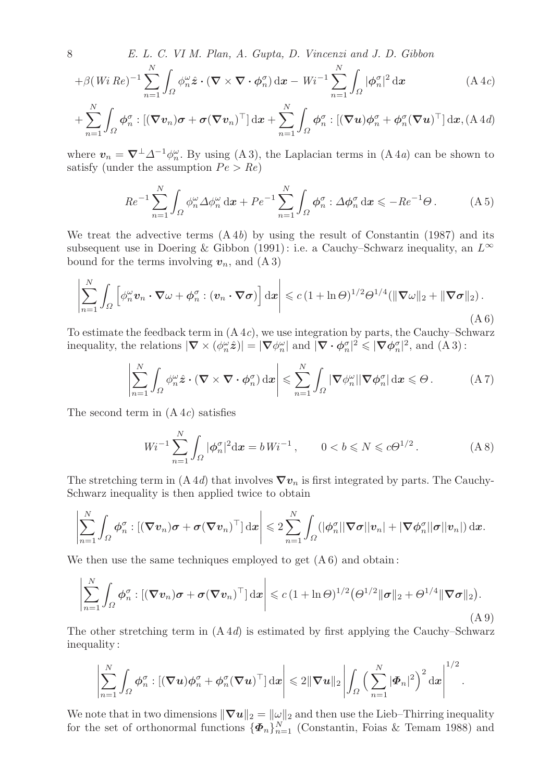8 E. L. C. VI M. Plan, A. Gupta, D. Vincenzi and J. D. Gibbon

$$
+\beta (Wi Re)^{-1} \sum_{n=1}^{N} \int_{\Omega} \phi_n^{\omega} \hat{\mathbf{z}} \cdot (\nabla \times \nabla \cdot \phi_n^{\sigma}) d\mathbf{x} - Wi^{-1} \sum_{n=1}^{N} \int_{\Omega} |\phi_n^{\sigma}|^2 d\mathbf{x}
$$
 (A 4*c*)

$$
+\sum_{n=1}^N\int_\Omega \boldsymbol\phi_n^\sigma : [(\boldsymbol\nabla\boldsymbol v_n)\boldsymbol\sigma + \boldsymbol\sigma(\boldsymbol\nabla\boldsymbol v_n)^\top] \,\mathrm{d} \boldsymbol x + \sum_{n=1}^N\int_\Omega \boldsymbol\phi_n^\sigma : [(\boldsymbol\nabla\boldsymbol u)\boldsymbol\phi_n^\sigma + \boldsymbol\phi_n^\sigma(\boldsymbol\nabla\boldsymbol u)^\top] \,\mathrm{d} \boldsymbol x, (\mathrm{A}\,4\mathrm{d})
$$

where  $v_n = \nabla^{\perp} \Delta^{-1} \phi_n^{\omega}$ . By using (A 3), the Laplacian terms in (A 4*a*) can be shown to satisfy (under the assumption  $Pe > Re$ )

$$
Re^{-1} \sum_{n=1}^{N} \int_{\Omega} \phi_n^{\omega} \Delta \phi_n^{\omega} dx + Pe^{-1} \sum_{n=1}^{N} \int_{\Omega} \phi_n^{\sigma} : \Delta \phi_n^{\sigma} dx \leqslant -Re^{-1} \Theta.
$$
 (A 5)

We treat the advective terms  $(A 4b)$  by using the result of Constantin (1987) and its subsequent use in Doering & Gibbon (1991): i.e. a Cauchy–Schwarz inequality, an  $L^{\infty}$ bound for the terms involving  $v_n$ , and  $(A3)$ 

$$
\left|\sum_{n=1}^{N} \int_{\Omega} \left[ \phi_n^{\omega} \mathbf{v}_n \cdot \nabla \omega + \phi_n^{\sigma} : (\mathbf{v}_n \cdot \nabla \sigma) \right] dx \right| \leqslant c \left(1 + \ln \Theta\right)^{1/2} \Theta^{1/4} \left( \|\nabla \omega\|_2 + \|\nabla \sigma\|_2 \right).
$$
\n(A6)

To estimate the feedback term in  $(A 4c)$ , we use integration by parts, the Cauchy–Schwarz inequality, the relations  $|\nabla \times (\phi_n^{\omega} \hat{\mathbf{z}})| = |\nabla \phi_n^{\omega}|$  and  $|\nabla \cdot \phi_n^{\sigma}|^2 \leq |\nabla \phi_n^{\sigma}|^2$ , and  $(A3)$ :

$$
\left|\sum_{n=1}^N \int_{\Omega} \phi_n^{\omega} \hat{\mathbf{z}} \cdot (\nabla \times \nabla \cdot \phi_n^{\sigma}) \, \mathrm{d}\mathbf{x}\right| \leq \sum_{n=1}^N \int_{\Omega} |\nabla \phi_n^{\omega}| |\nabla \phi_n^{\sigma}| \, \mathrm{d}\mathbf{x} \leq \Theta. \tag{A 7}
$$

The second term in  $(A 4c)$  satisfies

$$
Wi^{-1} \sum_{n=1}^{N} \int_{\Omega} |\phi_n^{\sigma}|^2 dx = b Wi^{-1}, \qquad 0 < b \leq N \leq c \Theta^{1/2} \,. \tag{A 8}
$$

The stretching term in  $(A 4d)$  that involves  $\nabla v_n$  is first integrated by parts. The Cauchy-Schwarz inequality is then applied twice to obtain

$$
\left|\sum_{n=1}^N\int_\Omega \boldsymbol\phi_n^\sigma\cdot\left[\left(\boldsymbol\nabla\boldsymbol v_n\right)\boldsymbol\sigma+\boldsymbol\sigma(\boldsymbol\nabla\boldsymbol v_n)^\top\right]\mathrm d x\right|\leqslant 2\sum_{n=1}^N\int_\Omega (|\boldsymbol\phi_n^\sigma||\boldsymbol\nabla\boldsymbol\sigma||\boldsymbol v_n|+|\boldsymbol\nabla\boldsymbol\phi_n^\sigma||\boldsymbol\sigma||\boldsymbol v_n|)\,\mathrm d x.
$$

We then use the same techniques employed to get  $(A 6)$  and obtain:

$$
\left|\sum_{n=1}^N \int_{\Omega} \phi_n^{\sigma} : [(\nabla v_n)\boldsymbol{\sigma} + \boldsymbol{\sigma}(\nabla v_n)^{\top}] dx\right| \leq c (1 + \ln \Theta)^{1/2} (\Theta^{1/2} ||\boldsymbol{\sigma}||_2 + \Theta^{1/4} ||\nabla \boldsymbol{\sigma}||_2).
$$
\n(A9)

The other stretching term in  $(A 4d)$  is estimated by first applying the Cauchy–Schwarz inequality :

$$
\left|\sum_{n=1}^N \int_{\Omega} \phi_n^{\sigma} : [(\boldsymbol{\nabla} \boldsymbol{u}) \phi_n^{\sigma} + \phi_n^{\sigma} (\boldsymbol{\nabla} \boldsymbol{u})^{\top}] \, d\boldsymbol{x}\right| \leqslant 2 \|\boldsymbol{\nabla} \boldsymbol{u}\|_2 \left| \int_{\Omega} \Big(\sum_{n=1}^N |\boldsymbol{\Phi}_n|^2\Big)^2 \, d\boldsymbol{x} \right|^{1/2}.
$$

We note that in two dimensions  $\|\nabla u\|_2 = \|\omega\|_2$  and then use the Lieb–Thirring inequality for the set of orthonormal functions  $\{\boldsymbol{\Phi}_n\}_{n=1}^N$  (Constantin, Foias & Temam 1988) and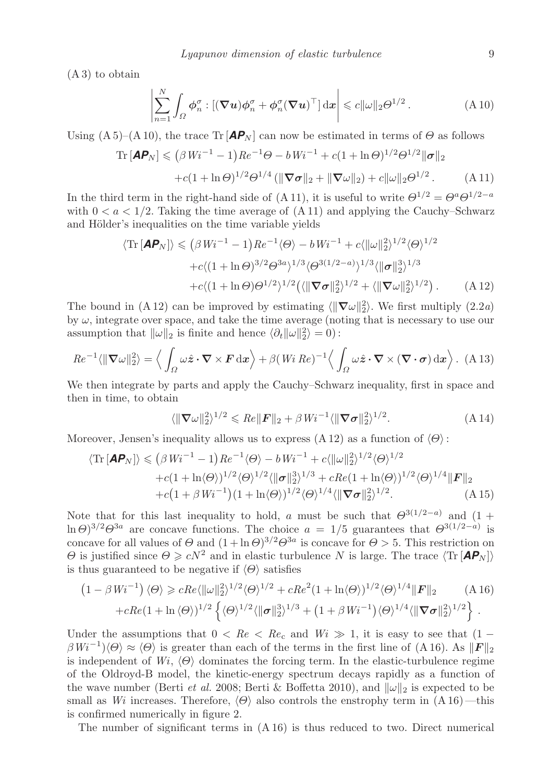Lyapunov dimension of elastic turbulence 9

(A 3) to obtain

$$
\left| \sum_{n=1}^{N} \int_{\Omega} \phi_n^{\sigma} : [(\nabla \mathbf{u}) \phi_n^{\sigma} + \phi_n^{\sigma} (\nabla \mathbf{u})^{\top}] \, \mathrm{d}\mathbf{x} \right| \leq c \|\omega\|_2 \Theta^{1/2} \,. \tag{A.10}
$$

Using  $(A 5)$ – $(A 10)$ , the trace Tr  $[AP_N]$  can now be estimated in terms of  $\Theta$  as follows

Tr 
$$
[\mathbf{A}\mathbf{P}_N] \leq (\beta Wi^{-1} - 1)Re^{-1}\Theta - bWi^{-1} + c(1 + \ln \Theta)^{1/2}\Theta^{1/2} \|\boldsymbol{\sigma}\|_2
$$
  
  $+ c(1 + \ln \Theta)^{1/2}\Theta^{1/4} (\|\boldsymbol{\nabla}\boldsymbol{\sigma}\|_2 + \|\boldsymbol{\nabla}\omega\|_2) + c\|\omega\|_2\Theta^{1/2}.$  (A 11)

In the third term in the right-hand side of (A 11), it is useful to write  $\Theta^{1/2} = \Theta^a \Theta^{1/2-a}$ with  $0 < a < 1/2$ . Taking the time average of  $(A 11)$  and applying the Cauchy–Schwarz and Hölder's inequalities on the time variable yields

$$
\langle \operatorname{Tr}[\mathbf{A}\mathbf{P}_N] \rangle \leq (\beta W i^{-1} - 1) Re^{-1} \langle \Theta \rangle - b W i^{-1} + c \langle ||\omega||_2^2 \rangle^{1/2} \langle \Theta \rangle^{1/2}
$$
  
+  $c \langle (1 + \ln \Theta)^{3/2} \Theta^{3a} \rangle^{1/3} \langle \Theta^{3(1/2 - a)} \rangle^{1/3} \langle ||\boldsymbol{\sigma}||_2^3 \rangle^{1/3}$   
+  $c \langle (1 + \ln \Theta) \Theta^{1/2} \rangle^{1/2} \langle (||\boldsymbol{\nabla}\boldsymbol{\sigma}||_2^2)^{1/2} + \langle ||\boldsymbol{\nabla}\omega||_2^2 \rangle^{1/2}).$  (A 12)

The bound in (A 12) can be improved by estimating  $\langle \|\nabla \omega\|_2^2 \rangle$ . We first multiply  $(2.2a)$ by  $\omega$ , integrate over space, and take the time average (noting that is necessary to use our assumption that  $\|\omega\|_2$  is finite and hence  $\langle \partial_t \|\omega\|_2^2 \rangle = 0$ ):

$$
Re^{-1}\langle \|\nabla\omega\|_2^2 \rangle = \langle \int_{\Omega} \omega \hat{\mathbf{z}} \cdot \nabla \times \mathbf{F} \, \mathrm{d}\mathbf{x} \rangle + \beta (Wi \, Re)^{-1} \langle \int_{\Omega} \omega \hat{\mathbf{z}} \cdot \nabla \times (\nabla \cdot \boldsymbol{\sigma}) \, \mathrm{d}\mathbf{x} \rangle. \tag{A.13}
$$

We then integrate by parts and apply the Cauchy–Schwarz inequality, first in space and then in time, to obtain

$$
\langle \|\nabla \omega\|_2^2 \rangle^{1/2} \leqslant Re \|\mathbf{F}\|_2 + \beta W i^{-1} \langle \|\nabla \sigma\|_2^2 \rangle^{1/2}.
$$
 (A 14)

Moreover, Jensen's inequality allows us to express  $(A 12)$  as a function of  $\langle \Theta \rangle$ :

$$
\langle \text{Tr}[\mathbf{A}\mathbf{P}_N] \rangle \leq (\beta Wi^{-1} - 1) Re^{-1} \langle \Theta \rangle - b Wi^{-1} + c \langle ||\omega||_2^2 \rangle^{1/2} \langle \Theta \rangle^{1/2} + c(1 + \ln \langle \Theta \rangle)^{1/2} \langle \Theta \rangle^{1/2} \langle ||\mathbf{\sigma}||_2^2 \rangle^{1/3} + c Re(1 + \ln \langle \Theta \rangle)^{1/2} \langle \Theta \rangle^{1/4} ||\mathbf{F}||_2 + c(1 + \beta Wi^{-1}) (1 + \ln \langle \Theta \rangle)^{1/2} \langle \Theta \rangle^{1/4} \langle ||\nabla \mathbf{\sigma}||_2^2 \rangle^{1/2}.
$$
 (A 15)

Note that for this last inequality to hold, a must be such that  $\Theta^{3(1/2-a)}$  and  $(1 +$ ln  $\Theta$ )<sup>3/2</sup> $\Theta$ <sup>3a</sup> are concave functions. The choice  $a = 1/5$  guarantees that  $\Theta$ <sup>3(1/2-a)</sup> is concave for all values of  $\Theta$  and  $(1 + \ln \Theta)^{3/2} \Theta^{3a}$  is concave for  $\Theta > 5$ . This restriction on  $\Theta$  is justified since  $\Theta \ge cN^2$  and in elastic turbulence N is large. The trace  $\langle \text{Tr} [\mathbf{A} \mathbf{P}_N] \rangle$ is thus guaranteed to be negative if  $\langle \Theta \rangle$  satisfies

$$
(1 - \beta Wi^{-1}) \langle \Theta \rangle \geq c Re \langle ||\omega||_2^2 \rangle^{1/2} \langle \Theta \rangle^{1/2} + c Re^2 (1 + \ln \langle \Theta \rangle)^{1/2} \langle \Theta \rangle^{1/4} ||\mathbf{F}||_2 \qquad (A 16)
$$
  
+ c Re (1 + \ln \langle \Theta \rangle)^{1/2} \left\{ \langle \Theta \rangle^{1/2} \langle ||\boldsymbol{\sigma}||\_2^3 \rangle^{1/3} + (1 + \beta Wi^{-1}) \langle \Theta \rangle^{1/4} \langle ||\boldsymbol{\nabla}\boldsymbol{\sigma}||\_2^2 \rangle^{1/2} \right\}.

Under the assumptions that  $0 < Re < Re_c$  and  $Wi \gg 1$ , it is easy to see that  $(1 \beta Wi^{-1}(\Theta) \approx \langle \Theta \rangle$  is greater than each of the terms in the first line of (A 16). As  $\|\mathbf{F}\|_2$ is independent of  $Wi$ ,  $\langle \Theta \rangle$  dominates the forcing term. In the elastic-turbulence regime of the Oldroyd-B model, the kinetic-energy spectrum decays rapidly as a function of the wave number (Berti *et al.* 2008; Berti & Boffetta 2010), and  $\|\omega\|_2$  is expected to be small as Wi increases. Therefore,  $\langle \Theta \rangle$  also controls the enstrophy term in  $(A 16)$ —this is confirmed numerically in figure 2.

The number of significant terms in (A 16) is thus reduced to two. Direct numerical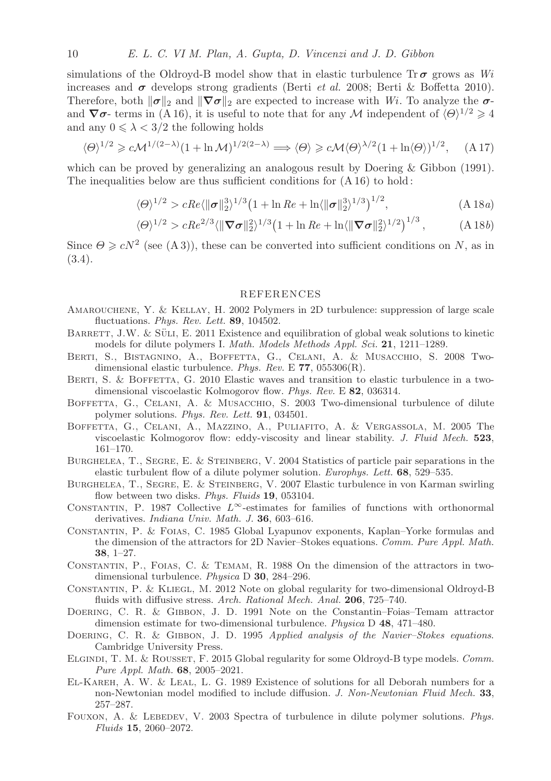simulations of the Oldroyd-B model show that in elastic turbulence  $\text{Tr}\,\boldsymbol{\sigma}$  grows as Wi increases and  $\sigma$  develops strong gradients (Berti *et al.* 2008; Berti & Boffetta 2010). Therefore, both  $\|\sigma\|_2$  and  $\|\nabla\sigma\|_2$  are expected to increase with Wi. To analyze the  $\sigma$ and  $\nabla \sigma$ - terms in (A 16), it is useful to note that for any M independent of  $\langle \Theta \rangle^{1/2} \geq 4$ and any  $0 \leq \lambda < 3/2$  the following holds

$$
\langle \Theta \rangle^{1/2} \geq c \mathcal{M}^{1/(2-\lambda)} (1 + \ln \mathcal{M})^{1/2(2-\lambda)} \Longrightarrow \langle \Theta \rangle \geq c \mathcal{M} \langle \Theta \rangle^{\lambda/2} (1 + \ln \langle \Theta \rangle)^{1/2}, \quad (A 17)
$$

which can be proved by generalizing an analogous result by Doering & Gibbon (1991). The inequalities below are thus sufficient conditions for (A 16) to hold :

$$
\langle \Theta \rangle^{1/2} > cRe \langle \|\sigma\|_2^3 \rangle^{1/3} \left(1 + \ln Re + \ln \langle \|\sigma\|_2^3 \rangle^{1/3} \right)^{1/2}, \tag{A.18a}
$$

$$
\langle \Theta \rangle^{1/2} > cRe^{2/3} \langle \|\nabla \sigma\|_2^2 \rangle^{1/3} \left(1 + \ln Re + \ln \langle \|\nabla \sigma\|_2^2 \rangle^{1/2} \right)^{1/3}, \tag{A.18b}
$$

Since  $\Theta \ge cN^2$  (see (A 3)), these can be converted into sufficient conditions on N, as in (3.4).

#### REFERENCES

- Amarouchene, Y. & Kellay, H. 2002 Polymers in 2D turbulence: suppression of large scale fluctuations. Phys. Rev. Lett. 89, 104502.
- BARRETT, J.W. & SÜLI, E. 2011 Existence and equilibration of global weak solutions to kinetic models for dilute polymers I. Math. Models Methods Appl. Sci. 21, 1211–1289.
- Berti, S., Bistagnino, A., Boffetta, G., Celani, A. & Musacchio, S. 2008 Twodimensional elastic turbulence. Phys. Rev. E  $77$ ,  $055306(R)$ .
- BERTI, S. & BOFFETTA, G. 2010 Elastic waves and transition to elastic turbulence in a twodimensional viscoelastic Kolmogorov flow. Phys. Rev. E 82, 036314.
- BOFFETTA, G., CELANI, A. & MUSACCHIO, S. 2003 Two-dimensional turbulence of dilute polymer solutions. Phys. Rev. Lett. 91, 034501.
- Boffetta, G., Celani, A., Mazzino, A., Puliafito, A. & Vergassola, M. 2005 The viscoelastic Kolmogorov flow: eddy-viscosity and linear stability. J. Fluid Mech. 523, 161–170.
- BURGHELEA, T., SEGRE, E. & STEINBERG, V. 2004 Statistics of particle pair separations in the elastic turbulent flow of a dilute polymer solution. Europhys. Lett. 68, 529–535.
- Burghelea, T., Segre, E. & Steinberg, V. 2007 Elastic turbulence in von Karman swirling flow between two disks. Phys. Fluids 19, 053104.
- CONSTANTIN, P. 1987 Collective  $L^{\infty}$ -estimates for families of functions with orthonormal derivatives. Indiana Univ. Math. J. 36, 603–616.
- Constantin, P. & Foias, C. 1985 Global Lyapunov exponents, Kaplan–Yorke formulas and the dimension of the attractors for 2D Navier–Stokes equations. Comm. Pure Appl. Math. 38, 1–27.
- Constantin, P., Foias, C. & Temam, R. 1988 On the dimension of the attractors in twodimensional turbulence. Physica D 30, 284–296.
- Constantin, P. & Kliegl, M. 2012 Note on global regularity for two-dimensional Oldroyd-B fluids with diffusive stress. Arch. Rational Mech. Anal. 206, 725-740.
- Doering, C. R. & Gibbon, J. D. 1991 Note on the Constantin–Foias–Temam attractor dimension estimate for two-dimensional turbulence. Physica D 48, 471–480.
- DOERING, C. R. & GIBBON, J. D. 1995 Applied analysis of the Navier–Stokes equations. Cambridge University Press.
- ELGINDI, T. M. & ROUSSET, F. 2015 Global regularity for some Oldroyd-B type models. Comm. Pure Appl. Math. 68, 2005–2021.
- El-Kareh, A. W. & Leal, L. G. 1989 Existence of solutions for all Deborah numbers for a non-Newtonian model modified to include diffusion. J. Non-Newtonian Fluid Mech. 33, 257–287.
- FOUXON, A. & LEBEDEV, V. 2003 Spectra of turbulence in dilute polymer solutions. Phys. Fluids 15, 2060–2072.